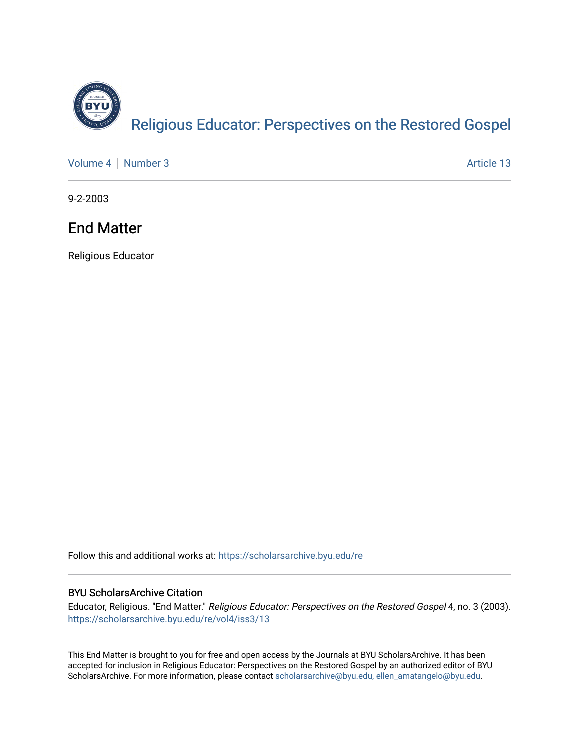

[Volume 4](https://scholarsarchive.byu.edu/re/vol4) | [Number 3](https://scholarsarchive.byu.edu/re/vol4/iss3) Article 13

9-2-2003

# End Matter

Religious Educator

Follow this and additional works at: [https://scholarsarchive.byu.edu/re](https://scholarsarchive.byu.edu/re?utm_source=scholarsarchive.byu.edu%2Fre%2Fvol4%2Fiss3%2F13&utm_medium=PDF&utm_campaign=PDFCoverPages)

### BYU ScholarsArchive Citation

Educator, Religious. "End Matter." Religious Educator: Perspectives on the Restored Gospel 4, no. 3 (2003). [https://scholarsarchive.byu.edu/re/vol4/iss3/13](https://scholarsarchive.byu.edu/re/vol4/iss3/13?utm_source=scholarsarchive.byu.edu%2Fre%2Fvol4%2Fiss3%2F13&utm_medium=PDF&utm_campaign=PDFCoverPages) 

This End Matter is brought to you for free and open access by the Journals at BYU ScholarsArchive. It has been accepted for inclusion in Religious Educator: Perspectives on the Restored Gospel by an authorized editor of BYU ScholarsArchive. For more information, please contact [scholarsarchive@byu.edu, ellen\\_amatangelo@byu.edu.](mailto:scholarsarchive@byu.edu,%20ellen_amatangelo@byu.edu)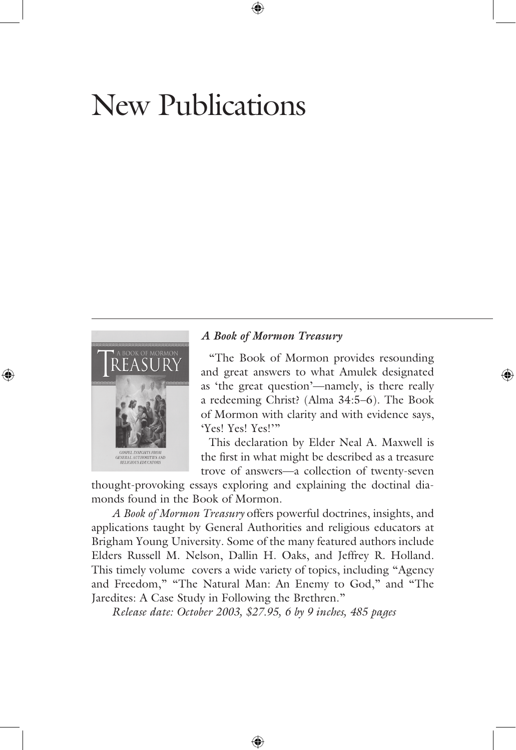# New Publications



#### *A Book of Mormon Treasury*

 "The Book of Mormon provides resounding and great answers to what Amulek designated as 'the great question'—namely, is there really a redeeming Christ? (Alma 34:5–6). The Book of Mormon with clarity and with evidence says, 'Yes! Yes! Yes!'"

 This declaration by Elder Neal A. Maxwell is the first in what might be described as a treasure trove of answers—a collection of twenty-seven

thought-provoking essays exploring and explaining the doctinal diamonds found in the Book of Mormon.

*A Book of Mormon Treasury* offers powerful doctrines, insights, and applications taught by General Authorities and religious educators at Brigham Young University. Some of the many featured authors include Elders Russell M. Nelson, Dallin H. Oaks, and Jeffrey R. Holland. This timely volume covers a wide variety of topics, including "Agency and Freedom," "The Natural Man: An Enemy to God," and "The Jaredites: A Case Study in Following the Brethren."

*Release date: October 2003, \$27.95, 6 by 9 inches, 485 pages*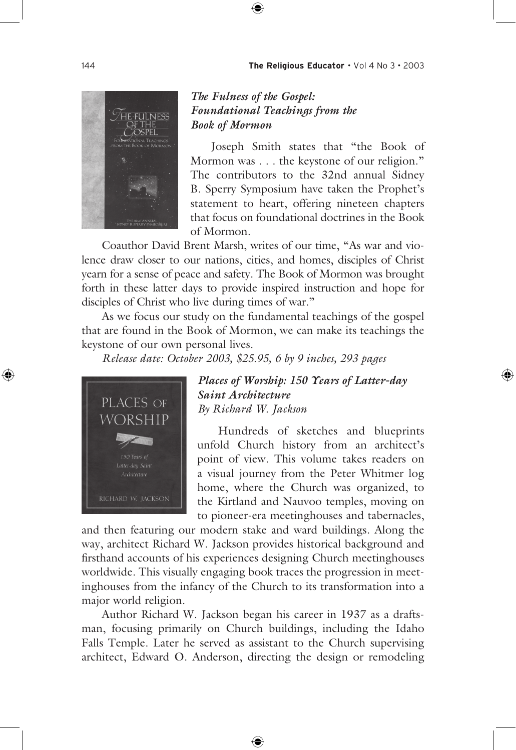

#### *The Fulness of the Gospel: Foundational Teachings from the Book of Mormon*

Joseph Smith states that "the Book of Mormon was . . . the keystone of our religion." The contributors to the 32nd annual Sidney B. Sperry Symposium have taken the Prophet's statement to heart, offering nineteen chapters that focus on foundational doctrines in the Book of Mormon.

 Coauthor David Brent Marsh, writes of our time, "As war and violence draw closer to our nations, cities, and homes, disciples of Christ yearn for a sense of peace and safety. The Book of Mormon was brought forth in these latter days to provide inspired instruction and hope for disciples of Christ who live during times of war."

 As we focus our study on the fundamental teachings of the gospel that are found in the Book of Mormon, we can make its teachings the keystone of our own personal lives.

 *Release date: October 2003, \$25.95, 6 by 9 inches, 293 pages*



*Places of Worship: 150 Years of Latter-day Saint Architecture By Richard W. Jackson*

Hundreds of sketches and blueprints unfold Church history from an architect's point of view. This volume takes readers on a visual journey from the Peter Whitmer log home, where the Church was organized, to the Kirtland and Nauvoo temples, moving on to pioneer-era meetinghouses and tabernacles,

and then featuring our modern stake and ward buildings. Along the way, architect Richard W. Jackson provides historical background and firsthand accounts of his experiences designing Church meetinghouses worldwide. This visually engaging book traces the progression in meetinghouses from the infancy of the Church to its transformation into a major world religion.

 Author Richard W. Jackson began his career in 1937 as a draftsman, focusing primarily on Church buildings, including the Idaho Falls Temple. Later he served as assistant to the Church supervising architect, Edward O. Anderson, directing the design or remodeling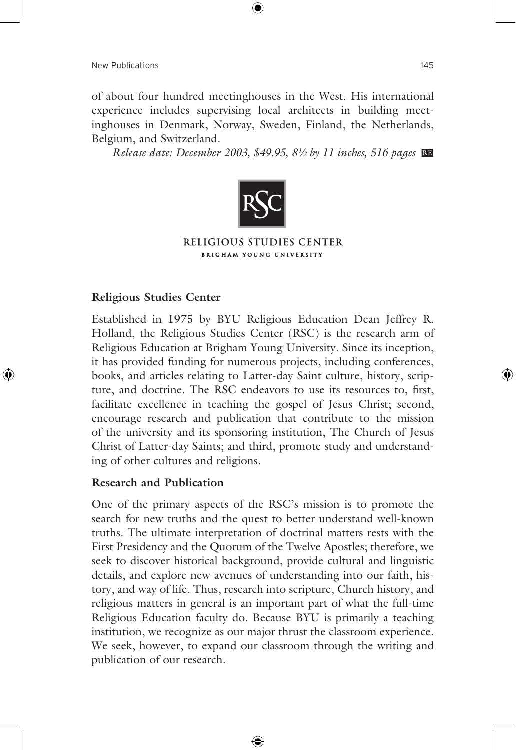of about four hundred meetinghouses in the West. His international experience includes supervising local architects in building meetinghouses in Denmark, Norway, Sweden, Finland, the Netherlands, Belgium, and Switzerland.

 *Release date: December 2003, \$49.95, 8½ by 11 inches, 516 pages*



#### RELIGIOUS STUDIES CENTER **BRIGHAM YOUNG UNIVERSITY**

#### **Religious Studies Center**

Established in 1975 by BYU Religious Education Dean Jeffrey R. Holland, the Religious Studies Center (RSC) is the research arm of Religious Education at Brigham Young University. Since its inception, it has provided funding for numerous projects, including conferences, books, and articles relating to Latter-day Saint culture, history, scripture, and doctrine. The RSC endeavors to use its resources to, first, facilitate excellence in teaching the gospel of Jesus Christ; second, encourage research and publication that contribute to the mission of the university and its sponsoring institution, The Church of Jesus Christ of Latter-day Saints; and third, promote study and understanding of other cultures and religions.

#### **Research and Publication**

One of the primary aspects of the RSC's mission is to promote the search for new truths and the quest to better understand well-known truths. The ultimate interpretation of doctrinal matters rests with the First Presidency and the Quorum of the Twelve Apostles; therefore, we seek to discover historical background, provide cultural and linguistic details, and explore new avenues of understanding into our faith, history, and way of life. Thus, research into scripture, Church history, and religious matters in general is an important part of what the full-time Religious Education faculty do. Because BYU is primarily a teaching institution, we recognize as our major thrust the classroom experience. We seek, however, to expand our classroom through the writing and publication of our research.